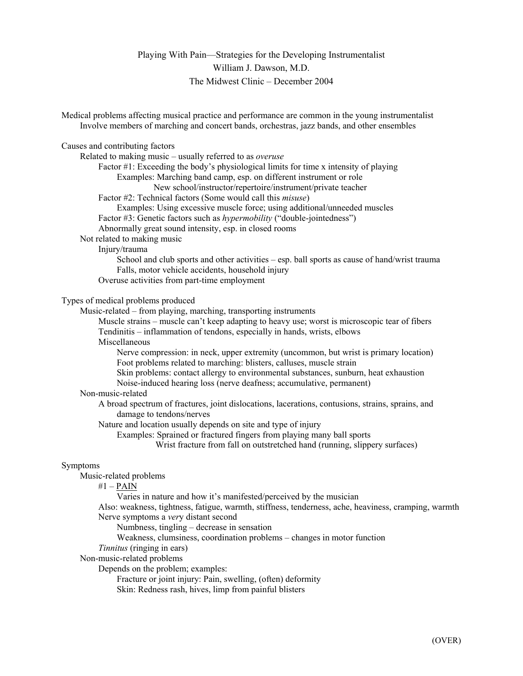## Playing With Pain—Strategies for the Developing Instrumentalist William J. Dawson, M.D. The Midwest Clinic – December 2004

| Medical problems affecting musical practice and performance are common in the young instrumentalist<br>Involve members of marching and concert bands, orchestras, jazz bands, and other ensembles |
|---------------------------------------------------------------------------------------------------------------------------------------------------------------------------------------------------|
| Causes and contributing factors                                                                                                                                                                   |
| Related to making music - usually referred to as overuse                                                                                                                                          |
| Factor #1: Exceeding the body's physiological limits for time x intensity of playing                                                                                                              |
| Examples: Marching band camp, esp. on different instrument or role                                                                                                                                |
| New school/instructor/repertoire/instrument/private teacher                                                                                                                                       |
| Factor #2: Technical factors (Some would call this <i>misuse</i> )                                                                                                                                |
| Examples: Using excessive muscle force; using additional/unneeded muscles                                                                                                                         |
| Factor #3: Genetic factors such as hypermobility ("double-jointedness")                                                                                                                           |
| Abnormally great sound intensity, esp. in closed rooms                                                                                                                                            |
| Not related to making music                                                                                                                                                                       |
| Injury/trauma                                                                                                                                                                                     |
| School and club sports and other activities – esp. ball sports as cause of hand/wrist trauma                                                                                                      |
| Falls, motor vehicle accidents, household injury                                                                                                                                                  |
| Overuse activities from part-time employment                                                                                                                                                      |
|                                                                                                                                                                                                   |
| Types of medical problems produced                                                                                                                                                                |
| Music-related – from playing, marching, transporting instruments                                                                                                                                  |
| Muscle strains - muscle can't keep adapting to heavy use; worst is microscopic tear of fibers                                                                                                     |
| Tendinitis - inflammation of tendons, especially in hands, wrists, elbows                                                                                                                         |
| Miscellaneous                                                                                                                                                                                     |
| Nerve compression: in neck, upper extremity (uncommon, but wrist is primary location)                                                                                                             |
| Foot problems related to marching: blisters, calluses, muscle strain                                                                                                                              |
| Skin problems: contact allergy to environmental substances, sunburn, heat exhaustion                                                                                                              |
| Noise-induced hearing loss (nerve deafness; accumulative, permanent)                                                                                                                              |
| Non-music-related                                                                                                                                                                                 |
| A broad spectrum of fractures, joint dislocations, lacerations, contusions, strains, sprains, and                                                                                                 |
| damage to tendons/nerves                                                                                                                                                                          |
| Nature and location usually depends on site and type of injury                                                                                                                                    |
| Examples: Sprained or fractured fingers from playing many ball sports                                                                                                                             |
| Wrist fracture from fall on outstretched hand (running, slippery surfaces)                                                                                                                        |
|                                                                                                                                                                                                   |
| Symptoms                                                                                                                                                                                          |
| Music-related problems                                                                                                                                                                            |
| $#1 - PAIN$<br>Varies in nature and how it's manifested/perceived by the musician                                                                                                                 |
|                                                                                                                                                                                                   |
| Also: weakness, tightness, fatigue, warmth, stiffness, tenderness, ache, heaviness, cramping, warmth                                                                                              |
| Nerve symptoms a very distant second                                                                                                                                                              |
| Numbness, tingling – decrease in sensation                                                                                                                                                        |
| Weakness, clumsiness, coordination problems – changes in motor function                                                                                                                           |
| Tinnitus (ringing in ears)                                                                                                                                                                        |
| Non-music-related problems<br>Donando on the much lame avenual sou                                                                                                                                |

Depends on the problem; examples:

Fracture or joint injury: Pain, swelling, (often) deformity

Skin: Redness rash, hives, limp from painful blisters